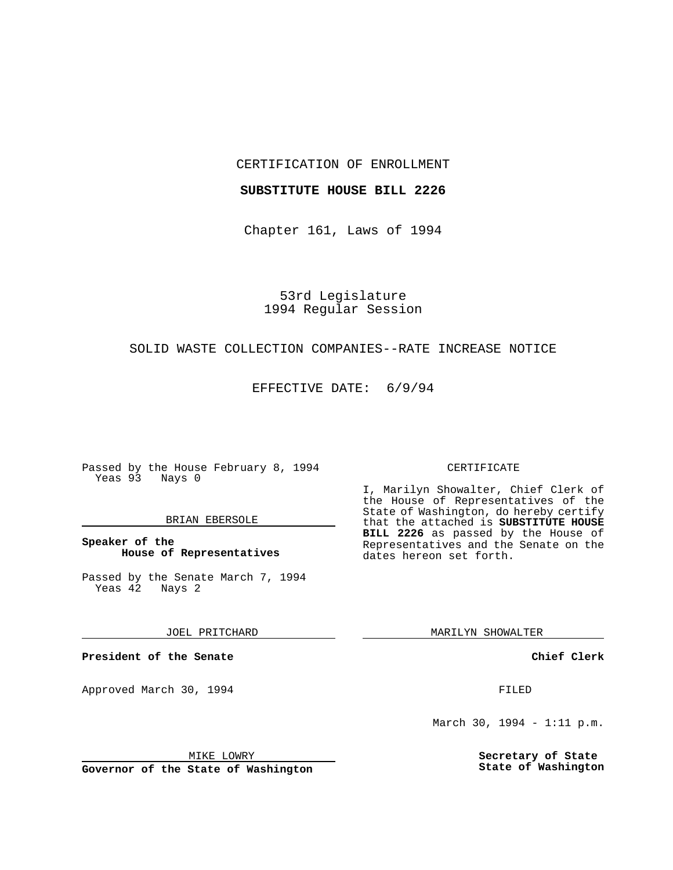CERTIFICATION OF ENROLLMENT

#### **SUBSTITUTE HOUSE BILL 2226**

Chapter 161, Laws of 1994

53rd Legislature 1994 Regular Session

#### SOLID WASTE COLLECTION COMPANIES--RATE INCREASE NOTICE

EFFECTIVE DATE: 6/9/94

Passed by the House February 8, 1994 Yeas 93 Nays 0

#### BRIAN EBERSOLE

### **Speaker of the House of Representatives**

Passed by the Senate March 7, 1994 Yeas 42 Nays 2

JOEL PRITCHARD

**President of the Senate**

Approved March 30, 1994 **FILED** 

### CERTIFICATE

I, Marilyn Showalter, Chief Clerk of the House of Representatives of the State of Washington, do hereby certify that the attached is **SUBSTITUTE HOUSE BILL 2226** as passed by the House of Representatives and the Senate on the dates hereon set forth.

MARILYN SHOWALTER

**Chief Clerk**

March 30, 1994 - 1:11 p.m.

**Secretary of State State of Washington**

MIKE LOWRY

**Governor of the State of Washington**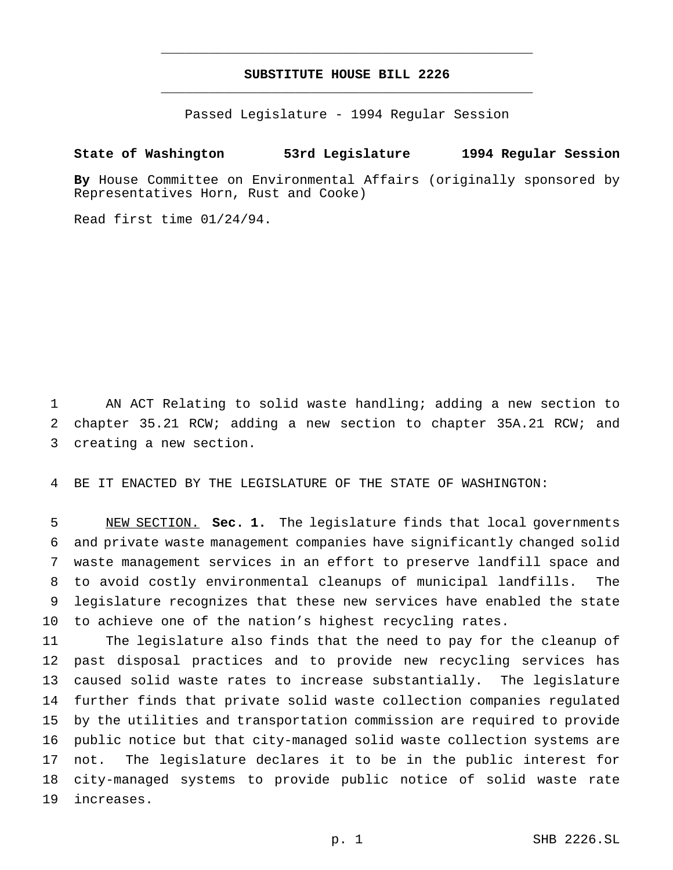# **SUBSTITUTE HOUSE BILL 2226** \_\_\_\_\_\_\_\_\_\_\_\_\_\_\_\_\_\_\_\_\_\_\_\_\_\_\_\_\_\_\_\_\_\_\_\_\_\_\_\_\_\_\_\_\_\_\_

\_\_\_\_\_\_\_\_\_\_\_\_\_\_\_\_\_\_\_\_\_\_\_\_\_\_\_\_\_\_\_\_\_\_\_\_\_\_\_\_\_\_\_\_\_\_\_

Passed Legislature - 1994 Regular Session

## **State of Washington 53rd Legislature 1994 Regular Session**

**By** House Committee on Environmental Affairs (originally sponsored by Representatives Horn, Rust and Cooke)

Read first time 01/24/94.

 AN ACT Relating to solid waste handling; adding a new section to chapter 35.21 RCW; adding a new section to chapter 35A.21 RCW; and creating a new section.

BE IT ENACTED BY THE LEGISLATURE OF THE STATE OF WASHINGTON:

 NEW SECTION. **Sec. 1.** The legislature finds that local governments and private waste management companies have significantly changed solid waste management services in an effort to preserve landfill space and to avoid costly environmental cleanups of municipal landfills. The legislature recognizes that these new services have enabled the state to achieve one of the nation's highest recycling rates.

 The legislature also finds that the need to pay for the cleanup of past disposal practices and to provide new recycling services has caused solid waste rates to increase substantially. The legislature further finds that private solid waste collection companies regulated by the utilities and transportation commission are required to provide public notice but that city-managed solid waste collection systems are not. The legislature declares it to be in the public interest for city-managed systems to provide public notice of solid waste rate increases.